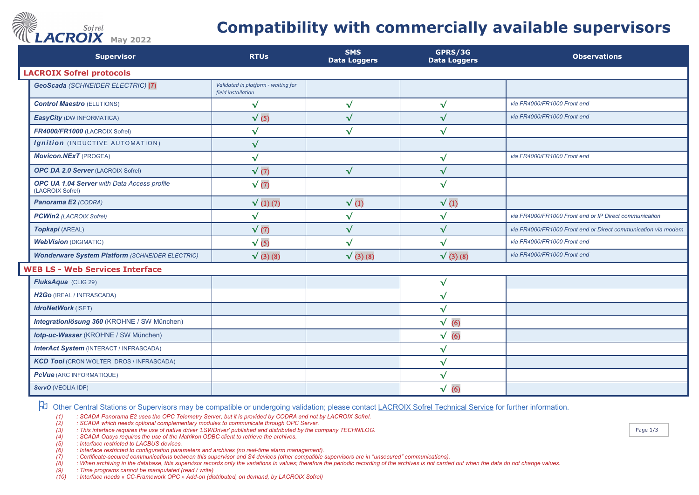## *ACROIX* May 2022

## **Compatibility with commercially available supervisors**

| <b>Supervisor</b>                                               | <b>RTUs</b>                                               | <b>SMS</b><br><b>Data Loggers</b> | GPRS/3G<br><b>Data Loggers</b> | <b>Observations</b>                                           |
|-----------------------------------------------------------------|-----------------------------------------------------------|-----------------------------------|--------------------------------|---------------------------------------------------------------|
| <b>LACROIX Sofrel protocols</b>                                 |                                                           |                                   |                                |                                                               |
| GeoScada (SCHNEIDER ELECTRIC) (7)                               | Validated in platform - waiting for<br>field installation |                                   |                                |                                                               |
| <b>Control Maestro (ELUTIONS)</b>                               | $\sqrt{}$                                                 | $\sqrt{}$                         | $\sqrt{}$                      | via FR4000/FR1000 Front end                                   |
| <b>EasyCity (DW INFORMATICA)</b>                                | $\sqrt{(5)}$                                              | $\sqrt{}$                         | $\sqrt{}$                      | via FR4000/FR1000 Front end                                   |
| FR4000/FR1000 (LACROIX Sofrel)                                  | $\checkmark$                                              | $\checkmark$                      | $\sqrt{}$                      |                                                               |
| Ignition (INDUCTIVE AUTOMATION)                                 | $\sqrt{}$                                                 |                                   |                                |                                                               |
| <b>Movicon.NExT</b> (PROGEA)                                    | $\sqrt{}$                                                 |                                   | $\sqrt{}$                      | via FR4000/FR1000 Front end                                   |
| <b>OPC DA 2.0 Server (LACROIX Sofrel)</b>                       | $\sqrt{(7)}$                                              | $\sqrt{}$                         | $\checkmark$                   |                                                               |
| OPC UA 1.04 Server with Data Access profile<br>(LACROIX Sofrel) | $\sqrt{(7)}$                                              |                                   | $\checkmark$                   |                                                               |
| Panorama E2 (CODRA)                                             | $\sqrt{(1)(7)}$                                           | $\sqrt{(1)}$                      | $\sqrt{(1)}$                   |                                                               |
| <b>PCWin2</b> (LACROIX Sofrel)                                  | $\checkmark$                                              | $\sqrt{}$                         | $\checkmark$                   | via FR4000/FR1000 Front end or IP Direct communication        |
| Topkapi (AREAL)                                                 | $\sqrt{(7)}$                                              | $\sqrt{}$                         | $\sqrt{}$                      | via FR4000/FR1000 Front end or Direct communication via modem |
| <b>WebVision (DIGIMATIC)</b>                                    | $\sqrt{(5)}$                                              | $\checkmark$                      | $\sqrt{}$                      | via FR4000/FR1000 Front end                                   |
| <b>Wonderware System Platform (SCHNEIDER ELECTRIC)</b>          | $\sqrt{(3)(8)}$                                           | $\sqrt{(3)(8)}$                   | $\sqrt{(3)(8)}$                | via FR4000/FR1000 Front end                                   |
| <b>WEB LS - Web Services Interface</b>                          |                                                           |                                   |                                |                                                               |
| FluksAqua (CLIG 29)                                             |                                                           |                                   | $\checkmark$                   |                                                               |
| H2Go (IREAL / INFRASCADA)                                       |                                                           |                                   | $\sqrt{}$                      |                                                               |
| <b>IdroNetWork</b> (ISET)                                       |                                                           |                                   | $\sqrt{}$                      |                                                               |
| Integrationlösung 360 (KROHNE / SW München)                     |                                                           |                                   | $\sqrt(6)$                     |                                                               |
| lotp-uc-Wasser (KROHNE / SW München)                            |                                                           |                                   | $\sqrt(6)$                     |                                                               |
| <b>InterAct System (INTERACT / INFRASCADA)</b>                  |                                                           |                                   | $\sqrt{}$                      |                                                               |
| <b>KCD Tool</b> (CRON WOLTER DROS / INFRASCADA)                 |                                                           |                                   | $\checkmark$                   |                                                               |
| <b>PcVue</b> (ARC INFORMATIQUE)                                 |                                                           |                                   | $\sqrt{}$                      |                                                               |
| ServO (VEOLIA IDF)                                              |                                                           |                                   | $\sqrt{}$<br>(6)               |                                                               |

Other Central Stations or Supervisors may be compatible or undergoing validation; please contac[t LACROIX Sofrel Technical Service](mailto:hotline@sofrel.com) for further information.

*(1) : SCADA Panorama E2 uses the OPC Telemetry Server, but it is provided by CODRA and not by LACROIX Sofrel.* 

*(2) : SCADA which needs optional complementary modules to communicate through OPC Server.*

*(3) : This interface requires the use of native driver 'LSWDriver' published and distributed by the company TECHNILOG.*

*(4) : SCADA Oasys requires the use of the Matrikon ODBC client to retrieve the archives.*

*(5) : Interface restricted to LACBUS devices. (6) : Interface restricted to configuration parameters and archives (no real-time alarm management).*

*(7) : Certificate-secured communications between this supervisor and S4 devices (other compatible supervisors are in "unsecured" communications).*

*(8) : When archiving in the database, this supervisor records only the variations in values; therefore the periodic recording of the archives is not carried out when the data do not change values.*

*(9) : Time programs cannot be manipulated (read / write)*

*(10) : Interface needs « CC-Framework OPC » Add-on (distributed, on demand, by LACROIX Sofrel)*

Page 1/3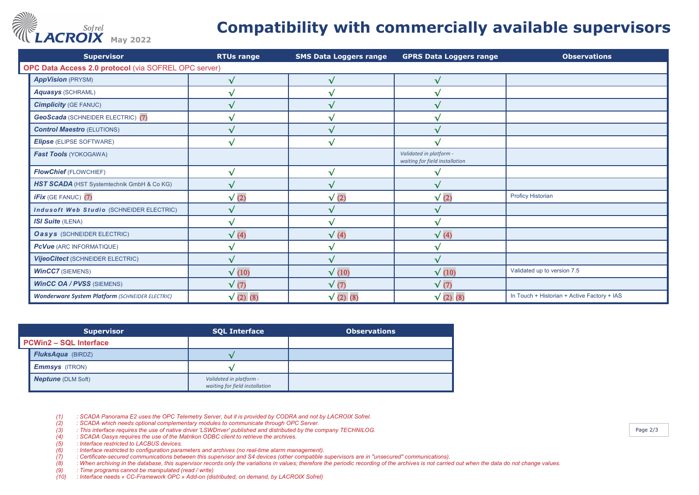

## **Compatibility with commercially available supervisors**

| <b>Supervisor</b>                                      | <b>RTUs range</b> | <b>SMS Data Loggers range</b> | <b>GPRS Data Loggers range</b>                            | <b>Observations</b>                         |
|--------------------------------------------------------|-------------------|-------------------------------|-----------------------------------------------------------|---------------------------------------------|
| OPC Data Access 2.0 protocol (via SOFREL OPC server)   |                   |                               |                                                           |                                             |
| <b>AppVision (PRYSM)</b>                               | √                 | $\mathbf{A}$                  | √                                                         |                                             |
| <b>Aquasys (SCHRAML)</b>                               | V                 |                               | v                                                         |                                             |
| <b>Cimplicity (GE FANUC)</b>                           | $\sqrt{}$         |                               | √                                                         |                                             |
| <b>GeoScada</b> (SCHNEIDER ELECTRIC) (7)               | √                 |                               |                                                           |                                             |
| <b>Control Maestro (ELUTIONS)</b>                      |                   |                               |                                                           |                                             |
| <b>Elipse (ELIPSE SOFTWARE)</b>                        | √                 | ÷.                            |                                                           |                                             |
| Fast Tools (YOKOGAWA)                                  |                   |                               | Validated in platform -<br>waiting for field installation |                                             |
| <b>FlowChief (FLOWCHIEF)</b>                           | V                 |                               |                                                           |                                             |
| HST SCADA (HST Systemtechnik GmbH & Co KG)             | V                 |                               |                                                           |                                             |
| <b>iFix</b> (GE FANUC) (7)                             | $\sqrt{(2)}$      | $\sqrt{(2)}$                  | $\sqrt{(2)}$                                              | <b>Proficy Historian</b>                    |
| Indusoft Web Studio (SCHNEIDER ELECTRIC)               | √                 |                               | √                                                         |                                             |
| <b>ISI Suite (ILENA)</b>                               | $\sqrt{}$         |                               | √                                                         |                                             |
| <b>Oasys</b> (SCHNEIDER ELECTRIC)                      | $\sqrt{(4)}$      | $\sqrt{(4)}$                  | $\sqrt{(4)}$                                              |                                             |
| <b>PcVue</b> (ARC INFORMATIQUE)                        | √                 |                               | v                                                         |                                             |
| Vijeo Citect (SCHNEIDER ELECTRIC)                      | √                 |                               | √                                                         |                                             |
| <b>WinCC7</b> (SIEMENS)                                | $\sqrt{(10)}$     | $\sqrt{(10)}$                 | $\sqrt{(10)}$                                             | Validated up to version 7.5                 |
| <b>WinCC OA / PVSS (SIEMENS)</b>                       | $\sqrt{(7)}$      | $\sqrt{(7)}$                  | $\sqrt{(7)}$                                              |                                             |
| <b>Wonderware System Platform (SCHNEIDER ELECTRIC)</b> | $\sqrt{(2)}$ (8)  | $\sqrt{(2)}$ (8)              | $\sqrt{(2)}$ (8)                                          | In Touch + Historian + Active Factory + IAS |

| <b>Supervisor</b>             |                           | <b>SQL Interface</b>                                      | <b>Observations</b> |  |  |
|-------------------------------|---------------------------|-----------------------------------------------------------|---------------------|--|--|
| <b>PCWin2 - SQL Interface</b> |                           |                                                           |                     |  |  |
|                               | <b>FluksAqua</b> (BIRDZ)  |                                                           |                     |  |  |
|                               | <b>Emmsys</b> (ITRON)     |                                                           |                     |  |  |
|                               | <b>Neptune</b> (DLM Soft) | Validated in platform -<br>waiting for field installation |                     |  |  |

*(2) : SCADA which needs optional complementary modules to communicate through OPC Server.*

*(1) : SCADA Panorama E2 uses the OPC Telemetry Server, but it is provided by CODRA and not by LACROIX Sofrel. (3) : This interface requires the use of native driver 'LSWDriver' published and distributed by the company TECHNILOG.*

*(4) : SCADA Oasys requires the use of the Matrikon ODBC client to retrieve the archives.*

*(6) : Interface restricted to configuration parameters and archives (no real-time alarm management).*

*(5) : Interface restricted to LACBUS devices. (7) : Certificate-secured communications between this supervisor and S4 devices (other compatible supervisors are in "unsecured" communications).*

*(8) : When archiving in the database, this supervisor records only the variations in values; therefore the periodic recording of the archives is not carried out when the data do not change values.*

*(9) : Time programs cannot be manipulated (read / write)*

*(10) : Interface needs « CC-Framework OPC » Add-on (distributed, on demand, by LACROIX Sofrel)*

Page 2/3